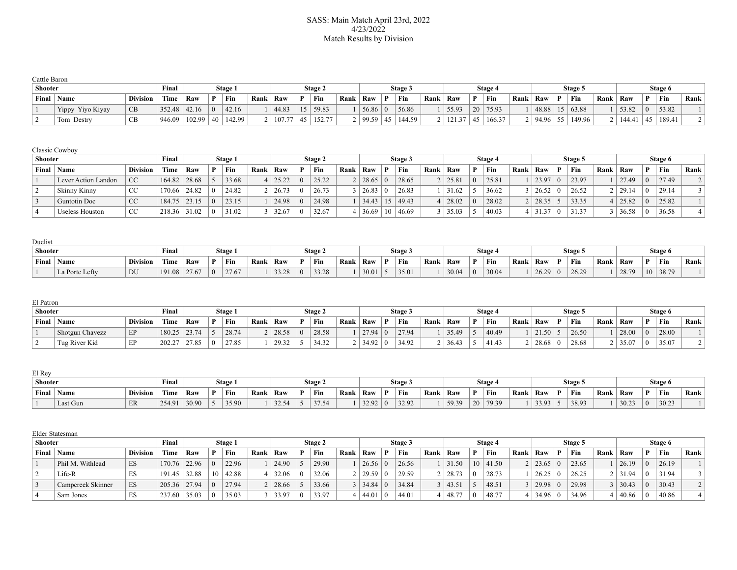#### SASS: Main Match April 23rd, 2022 4/23/2022 Match Results by Division

| Cattle Baron   |                  |                 |                   |     |                 |         |      |          |         |      |                      |              |         |      |       |                 |                |      |          |   |                 |      |        |          |         |      |
|----------------|------------------|-----------------|-------------------|-----|-----------------|---------|------|----------|---------|------|----------------------|--------------|---------|------|-------|-----------------|----------------|------|----------|---|-----------------|------|--------|----------|---------|------|
| <b>Shooter</b> |                  |                 | Final             |     |                 | Stage 1 |      |          | Stage 2 |      |                      |              | Stage 3 |      |       |                 | <b>Stage 4</b> |      |          |   | Stage 5         |      |        |          | Stage 6 |      |
| Final          | <b>Name</b>      | <b>Division</b> | Time              | Raw | D               | Fin     | Rank | Raw      | Fin     | Rank | Raw                  | $\mathbf{D}$ | Fin     | Rank | Raw   |                 | Fin            | Rank | Raw      | D | Fin             | Rank | Raw    |          | Fin     | Rank |
|                | Yippy Yiyo Kiyay | <b>CB</b>       | $352.48$   42.16  |     | $\Omega$        | 42.16   |      | 44.83    | 59.83   |      | 56.86                |              | 56.86   |      | 55.93 | 20 <sup>1</sup> | 75.93          |      | 48.88    |   | $15 \mid 63.88$ |      | 53.82  | $\Omega$ | 53.82   |      |
|                | Tom Destry       | ∪D              | $946.09$   102.99 |     | 40 <sup>1</sup> | 142.99  |      | 107.77 ا | 152.77  |      | .   99.59 $^{\circ}$ | 45           | 144.59  |      | 12127 | $-45$           | 166.37         |      | 94.96 55 |   | 149.96          |      | 144.41 | 45       | 189.41  |      |

| Classic Cowboy |  |
|----------------|--|
|----------------|--|

| <b>Shooter</b> |                     |                 | Final  |        |   | Stage 1 |      |       | <b>Stage 2</b> |      |       |          | Stage 3 |      |           |    | Stage 4 |      |                      |          | Stage 5 |      |       | Stage 6 |                |
|----------------|---------------------|-----------------|--------|--------|---|---------|------|-------|----------------|------|-------|----------|---------|------|-----------|----|---------|------|----------------------|----------|---------|------|-------|---------|----------------|
| Final          | Name                | <b>Division</b> | Time   | Raw    | D | Fin     | Rank | Raw   | Fin            | Rank | Raw   |          | Fin     | Rank | Raw       | P. | Fin     | Rank | Raw                  |          | Fin     | Rank | Raw   | Fin     | Rank           |
|                | Lever Action Landon | <sub>CC</sub>   | 164.82 | 28.68  |   | 33.68   |      | 25.22 | 25.22          |      | 28.65 | $\Omega$ | 28.65   |      | 2   25.81 |    | 25.81   |      | $1 \mid 23.97$       | $\Omega$ | 23.97   |      | 27.49 | 27.49   | $\overline{2}$ |
|                | Skinny Kinny        | $\cap$<br>U     | 170.66 | 124.82 |   | 24.82   |      | 26.73 | 26.73          |      | 26.83 | $\theta$ | 26.83   |      | 31.62     |    | 36.62   |      | 26.52                | $\Box$   | 26.52   |      | 29.14 | 29.14   |                |
|                | <b>Guntotin Doc</b> | <sub>CC</sub>   | 184.75 | 23.15  |   | 23.15   |      | 24.98 | 24.98          |      | 34.43 | 15       | 49.43   |      | 28.02     |    | 28.02   |      | $28.35$ .            |          | 33.35   |      | 25.82 | 25.82   |                |
|                | Useless Houston     | CC              | 218.36 | 31.02  |   | 31.02   |      | 32.67 | 32.67          |      | 36.69 |          | 46.69   |      | 35.03     |    | 40.03   |      | 21.27<br>-51<br>1.3' | $\pm 0$  | 31.37   |      | 36.58 | 36.58   |                |

| Duelist        |                |                 |                |     |          |         |      |       |         |      |       |              |         |          |       |          |         |      |       |        |      |       |              |                  |      |
|----------------|----------------|-----------------|----------------|-----|----------|---------|------|-------|---------|------|-------|--------------|---------|----------|-------|----------|---------|------|-------|--------|------|-------|--------------|------------------|------|
| <b>Shooter</b> |                |                 | Final          |     |          | Stage 1 |      |       | Stage 2 |      |       |              | Stage 5 |          |       |          | Stage 4 |      |       | Stage: |      |       |              | Stage 6          |      |
| Final          | $\perp$ Name   | <b>Division</b> | Time           | Raw |          | Fin     | Rank | Raw   | Fin     | Rank | ' Raw | $\mathbf{D}$ | Fin     | Rank Raw |       | D        | ' Fin   | Rank | Raw   | Fin    | Rank | ` Raw | $\mathbf{D}$ | <sup>'</sup> Fin | Rank |
|                | La Porte Lefty | DU              | 191.08   27.67 |     | $\Omega$ | 27.67   |      | 33.28 | 33.28   |      | 30.01 |              | 35.01   |          | 30.04 | $\theta$ | 30.04   |      | 26.29 | 26.29  |      | 28.79 | 10           | 38.79            |      |

| El Patron |                 |                 |                |       |              |         |      |                |         |      |       |                         |         |      |       |   |         |      |       |         |      |       |          |         |      |
|-----------|-----------------|-----------------|----------------|-------|--------------|---------|------|----------------|---------|------|-------|-------------------------|---------|------|-------|---|---------|------|-------|---------|------|-------|----------|---------|------|
| Shooter   |                 |                 | Final          |       |              | Stage 1 |      |                | Stage 2 |      |       |                         | Stage 3 |      |       |   | Stage 4 |      |       | Stage 5 |      |       |          | Stage 6 |      |
| Final     | Name            | <b>Division</b> | Time           | Raw   | $\mathbf{D}$ | Fin     | Rank | Raw            | Fin     | Rank | Raw   | $\mathbf{D}$            | Fin     | Rank | Raw   | D | ' Fin   | Rank | Raw   | Fin     | Rank | Raw   | <b>D</b> | Fin     | Rank |
|           | Shotgun Chavezz | EP              | $180.25$ 23.74 |       |              | 28.74   |      | $2 \mid 28.58$ | 28.58   |      | 27.94 | $^{\circ}$ 0 $^{\circ}$ | 27.94   |      | 35.49 |   | 40.49   |      | 21.50 | 26.50   |      | 28.00 |          | 28.00   |      |
|           | Tug River Kid   | EP              | 202.27         | 27.85 |              | 27.85   |      | 29.32          | 34.32   |      | 34.92 | $\Omega$                | 34.92   |      | 36.43 |   | 41.43   |      | 28.68 | 28.68   |      | 35.07 |          | 35.07   |      |

| El Rev  |              |          |        |       |         |      |       |   |         |      |       |                |         |      |       |                  |      |       |   |        |      |       |              |         |      |
|---------|--------------|----------|--------|-------|---------|------|-------|---|---------|------|-------|----------------|---------|------|-------|------------------|------|-------|---|--------|------|-------|--------------|---------|------|
| Shooter |              |          | Final  |       | Stage 1 |      |       |   | Stage 2 |      |       |                | Stage 5 |      |       | Stage 4          |      |       |   | Stage: |      |       |              | Stage 6 |      |
|         | Final   Name | Division | Time   | Raw   | Fin     | Rank | Raw   | D | Fin     | Rank | Raw   | $\mathbf{D}$   | Fin     | Rank | Raw   | <sup>'</sup> Fin | Rank | Raw   | D | Fin    | Rank | Raw   | $\mathbf{D}$ | Fin     | Rank |
|         | Last Gun     | ER       | 254.91 | 30.90 | 35.90   |      | 32.54 |   | 37.54   |      | 32.92 | $\overline{0}$ | 32.92   |      | 59.39 | 20 79.39         |      | 33.93 |   | 38.93  |      | 30.23 | $\Omega$     | 30.23   |      |

|                | Elder Statesman   |                 |                |       |   |         |      |                |         |      |       |                |         |      |                |                 |         |      |                |   |         |      |       |          |         |                          |
|----------------|-------------------|-----------------|----------------|-------|---|---------|------|----------------|---------|------|-------|----------------|---------|------|----------------|-----------------|---------|------|----------------|---|---------|------|-------|----------|---------|--------------------------|
| <b>Shooter</b> |                   |                 | Final          |       |   | Stage 1 |      |                | Stage 2 |      |       |                | Stage 3 |      |                |                 | Stage 4 |      |                |   | Stage 5 |      |       |          | Stage 6 |                          |
| Final          | Name              | <b>Division</b> | Time           | Raw   | D | Fin     | Rank | Raw            | Fin     | Rank | Raw   |                | Fin     | Rank | Raw            |                 | Fin     | Rank | Raw            | D | Fin     | Rank | Raw   |          | Fin     | Rank                     |
|                | Phil M. Withlead  | ES              | $170.76$ 22.96 |       |   | 22.96   |      | 24.90          | 29.90   |      | 26.56 | $\overline{0}$ | 26.56   |      | 31.50          | 10 <sup>1</sup> | 41.50   |      | $2 \mid 23.65$ |   | 23.65   |      | 26.19 | $\Omega$ | 26.19   |                          |
|                | Life-R            | ES              | $191.45$ 32.88 |       |   | 42.88   |      | 32.06          | 32.06   |      | 29.59 | $\pm 0$        | 29.59   |      | $2 \mid 28.73$ | $\overline{0}$  | 28.73   |      | 26.25          |   | 26.25   |      | 31.94 | $\Omega$ | 31.94   |                          |
|                | Campcreek Skinner | ES              | $205.36$ 27.94 |       |   | 27.94   |      | 28.66          | 33.66   |      | 34.84 | $\bigcirc$     | 34.84   |      | 3   43.51      |                 | 48.51   |      | 29.98          |   | 29.98   |      | 30.43 | $\Omega$ | 30.43   | $\overline{\phantom{0}}$ |
|                | Sam Jones         | ES              | 237.60         | 35.03 |   | 35.03   |      | $3 \mid 33.97$ | 33.97   |      | 44.01 |                | 44.01   |      | $4 \mid 48.77$ | $\theta$        | 48.77   |      | 34.96          |   | 34.96   |      | 40.86 | $\theta$ | 40.86   |                          |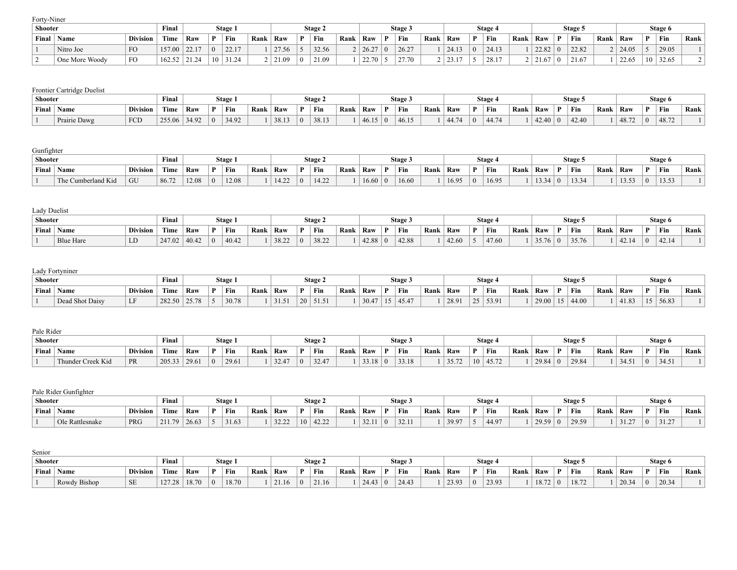Forty-Niner

| Shooter |                |                 | Final  |              |              | Stage 1          |      |       |             | Stage 2 |      |                |          | Stage 3 |      |                 |              | Stage 4       |      |       |   | Stage 5 |      |       |    | Stage 6 |      |
|---------|----------------|-----------------|--------|--------------|--------------|------------------|------|-------|-------------|---------|------|----------------|----------|---------|------|-----------------|--------------|---------------|------|-------|---|---------|------|-------|----|---------|------|
| Final   | Name           | <b>Division</b> | Time   | Raw          | $\mathbf{D}$ | Fin              | Rank | Raw   |             | Fin     | Rank | Raw            |          | Fin     | Rank | Raw             | $\mathbf{D}$ | Fin           | Rank | Raw   | D | Fin     | Rank | Raw   |    | Fin     | Rank |
|         | Nitro Joe      | FO              | 157.00 | 2217<br>44.1 |              | 22.17            |      | 27.56 |             | 32.56   |      | 26.27          | $\Omega$ | 26.27   |      | 24.13           |              | 2412<br>Z4.13 |      | 22.82 |   | 22.82   |      | 24.05 |    | 29.05   |      |
|         | One More Woody | FO              | 162.52 | 21.24        | 10           | 31.24<br>. 31.24 |      | 21.09 | $^{\prime}$ | 21.09   |      | 22.70<br>44.IV |          | 27.70   |      | $22 - 17$<br>,, |              | 28.17         |      | .67   |   |         |      | 22.65 | 10 | 32.65   |      |

|         | Frontier Cartridge Duelist |                 |        |       |    |        |      |       |         |      |       |                |         |      |       |    |                  |      |       |           |         |      |       |    |         |      |
|---------|----------------------------|-----------------|--------|-------|----|--------|------|-------|---------|------|-------|----------------|---------|------|-------|----|------------------|------|-------|-----------|---------|------|-------|----|---------|------|
| Shooter |                            |                 | Final  |       |    | Stage. |      |       | Stage 2 |      |       |                | Stage 3 |      |       |    | Stage 4          |      |       |           | Stage 5 |      |       |    | Stage 6 |      |
| Final   | $^{\dagger}$ Name          | <b>Division</b> | Time   | Raw   | D. | Fin    | Rank | Raw   | Fin     | Rank | Raw   |                | Fin     | Rank | Raw   | D. | <sup>'</sup> Fin | Rank | Raw   |           | Fin     | Rank | Raw   | D. | Fin     | Rank |
|         | Prairie Dawg               | FCD             | 255.06 | 34.92 |    | 34.92  |      | 38.13 | 38.13   |      | 46.15 | $\overline{0}$ | 46.15   |      | 44.74 |    | 44.74            |      | 42.40 | $\perp$ 0 | 42.40   |      | 48.72 |    | 48.72   |      |

#### Gunfighter

| ------------- |                     |                 |       |       |              |         |      |      |             |      |       |         |      |                |          |              |      |     |              |                                       |      |                 |              |         |      |
|---------------|---------------------|-----------------|-------|-------|--------------|---------|------|------|-------------|------|-------|---------|------|----------------|----------|--------------|------|-----|--------------|---------------------------------------|------|-----------------|--------------|---------|------|
| Shooter       |                     |                 | Final |       |              | Stage 1 |      |      | Stage 2     |      |       | Stage 3 |      |                |          | <b>Stage</b> |      |     |              | Stage:                                |      |                 |              | Stage 6 |      |
| Final         | $\blacksquare$ Name | <b>Division</b> | Time  | Raw   | $\mathbf{D}$ | Fin     | Rank | Raw  | Fin         | Rank | ' Raw | Fin     | Rank | Raw            |          | Fin          | Rank | Raw | $\mathbf{r}$ | Fin                                   | Rank | Raw             | $\mathbf{D}$ | Fin     | Rank |
|               | The Cumberland Kid  | GU              | 86.72 | 12.08 | $\Omega$     | 12.08   |      | 1422 | 122<br>14.2 |      | 6.60  | 16.60   |      | 16.95<br>10.7. | $\Omega$ | 6.95         |      | 122 |              | $\lambda$ $\Delta$ $\lambda$<br>13.34 |      | 13.53<br>1.0.0. |              | 13.53   |      |

| Lady Duelist   |             |                 |        |                 |              |         |      |       |              |             |      |       |              |         |      |       |              |         |      |                |   |         |      |       |          |         |      |
|----------------|-------------|-----------------|--------|-----------------|--------------|---------|------|-------|--------------|-------------|------|-------|--------------|---------|------|-------|--------------|---------|------|----------------|---|---------|------|-------|----------|---------|------|
| <b>Shooter</b> |             |                 | Final  |                 |              | Stage 1 |      |       |              | Stage 2     |      |       |              | Stage 3 |      |       |              | Stage 4 |      |                |   | Stage 5 |      |       |          | Stage 6 |      |
| Final          | <b>Name</b> | <b>Division</b> | Time   | Raw             | $\mathbf{D}$ | Fin     | Rank | Raw   | $\mathbf{D}$ | $\perp$ Fin | Rank | Raw   | $\mathbf{D}$ | Fin     | Rank | Raw   | $\mathbf{D}$ | ' Fin   | Rank | Raw            | D | Fin     | Rank | Raw   | D        | Fin     | Rank |
|                | Blue Hare   | LD              | 247.02 | $ 40.42\rangle$ | $^{\circ}$   | 40.42   |      | 38.22 |              | 38.22       |      | 42.88 |              | 42.88   |      | 42.60 |              | 47.60   |      | $35.76 \mid 0$ |   | 35.76   |      | 42.14 | $\Omega$ | 42.14   |      |

## Lady Fortyniner

| Shooter |                 |                 | <b>Final</b>              |       |              | Stage 1 |      |               |    | Stage 2 |      |       |        | Stage . |      |       |    | Stage . |      |       | Stage. |      |       |                | Stage 6 |      |
|---------|-----------------|-----------------|---------------------------|-------|--------------|---------|------|---------------|----|---------|------|-------|--------|---------|------|-------|----|---------|------|-------|--------|------|-------|----------------|---------|------|
| Final   | Name            | <b>Division</b> | <b>CONTRACTOR</b><br>Time | Raw   | $\mathbf{D}$ | Fin     | Rank | Raw           |    | Fin     | Rank | ` Raw | $\sim$ | Fin     | Rank | Raw   |    | Fin     | Rank | Raw   | Fin    | Rank | Raw   | $\mathbf{D}$   | Fin     | Rank |
|         | Dead Shot Daisy | -               | 282.50                    | 25.78 |              | 30.78   |      | 1215<br>31.21 | 20 | 51.51   |      | 30.4. | 15     | 45.47   |      | 28.91 | 25 | 53.91   |      | 29.00 | 44.00  |      | 41.83 | $\overline{1}$ | 56.83   |      |

| Pale Rider |                   |                 |        |       |           |         |      |       |    |                |      |       |              |         |      |       |                 |         |      |       |        |      |       |              |         |      |
|------------|-------------------|-----------------|--------|-------|-----------|---------|------|-------|----|----------------|------|-------|--------------|---------|------|-------|-----------------|---------|------|-------|--------|------|-------|--------------|---------|------|
| Shooter    |                   |                 | Final  |       |           | Stage 1 |      |       |    | <b>Stage 2</b> |      |       |              | Stage 3 |      |       |                 | Stage 4 |      |       | Stage: |      |       |              | Stage 6 |      |
| Final      | Name              | <b>Division</b> | Time   | Raw   | D.        | Fin     | Rank | Raw   | D. | Fin            | Rank | Raw   | $\mathbf{D}$ | Fin     | Rank | Raw   | D               | Fin     | Rank | Raw   | Fin    | Rank | Raw   | $\mathbf{D}$ | Fin     | Rank |
|            | Thunder Creek Kid | PR              | 205.33 | 29.61 | $\mid$ () | 29.61   |      | 32.47 |    | 32.47          |      | 33.18 |              | 33.18   |      | 35.72 | 10 <sup>1</sup> | 45.72   |      | 29.84 | 29.84  |      | 34.51 |              | 34.51   |      |

### Pale Rider Gunfighter

| Shooter |                  |                 | Final         |       |              | Stage 1 |      |                |                      | Stage 2        |      |              |          | Stage 3 |      |       |              | Stage . |      |       |    | Stage: |      |                |              | Stage 6 |      |
|---------|------------------|-----------------|---------------|-------|--------------|---------|------|----------------|----------------------|----------------|------|--------------|----------|---------|------|-------|--------------|---------|------|-------|----|--------|------|----------------|--------------|---------|------|
| Final   | $\mathbb{N}$ ame | <b>Division</b> | Time          | Raw   | $\mathbf{D}$ | Fin     | Rank | Raw            | $\mathbf{D}$         | ' Fin          | Rank | Raw          |          | Fin     | Rank | Raw   | $\mathbf{D}$ | Fin     | Rank | Raw   | n. | Fin    | Rank | Raw            | $\mathbf{D}$ | Fin     | Rank |
|         | Ole Rattlesnake  | PRG             | 211.70<br>211 | 26.63 |              | 31.63   |      | 22.22<br>32.22 | 10 <sup>1</sup><br>. | 12.22<br>42.22 |      | 221<br>22.11 | $\Omega$ | 32.11   |      | 39.97 |              | 44.97   |      | 29.59 |    | 29.59  |      | 21.27<br>ے ۔ د |              | 31.27   |      |

# Senior

| Shooter |              |                     | <b>Final</b>       |               |              | Stage 1 |      |       |   | <b>Stage 2</b> |      |       |          | Stage 3 |      |       |          | <b>Stage</b>   |      |      |   | Stage.      |      |       |              | Stage 6 |      |
|---------|--------------|---------------------|--------------------|---------------|--------------|---------|------|-------|---|----------------|------|-------|----------|---------|------|-------|----------|----------------|------|------|---|-------------|------|-------|--------------|---------|------|
| Final   | <b>Name</b>  | <b>Division</b>     | Time               | Raw           | $\mathbf{D}$ | ` Fin   | Rank | Raw   | D | Fin            | Rank | Raw   |          | Fin     | Rank | Raw   | D.       | Fin            | Rank | Raw  | D | Fin         | Rank | Raw   | $\mathbf{D}$ | Fin     | Rank |
|         | Rowdy Bishop | $_{\rm CE}$<br>نلاف | 1272<br>$1 \leq l$ | $\sim$ $\sim$ |              | 18.70   |      | 21.16 |   | 21.16          |      | 24.43 | $\Omega$ | 24.43   |      | 23.03 | $\Omega$ | 23.93<br>ر . ب |      | 18.7 |   | 187'<br>10. |      | 20.34 |              | 20.34   |      |